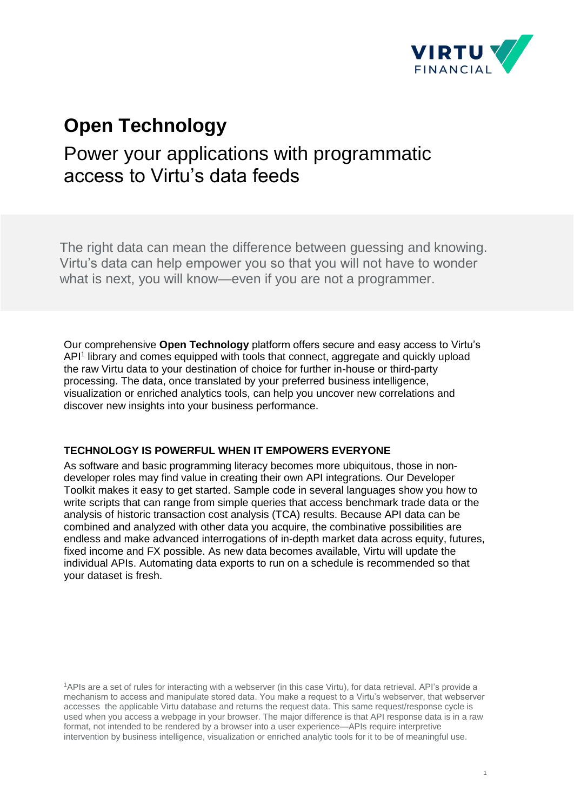

## **Open Technology**

# Power your applications with programmatic access to Virtu's data feeds

The right data can mean the difference between guessing and knowing. Virtu's data can help empower you so that you will not have to wonder what is next, you will know—even if you are not a programmer.

Our comprehensive **Open Technology** platform offers secure and easy access to Virtu's API<sup>1</sup> library and comes equipped with tools that connect, aggregate and quickly upload the raw Virtu data to your destination of choice for further in-house or third-party processing. The data, once translated by your preferred business intelligence, visualization or enriched analytics tools, can help you uncover new correlations and discover new insights into your business performance.

#### **TECHNOLOGY IS POWERFUL WHEN IT EMPOWERS EVERYONE**

As software and basic programming literacy becomes more ubiquitous, those in nondeveloper roles may find value in creating their own API integrations. Our Developer Toolkit makes it easy to get started. Sample code in several languages show you how to write scripts that can range from simple queries that access benchmark trade data or the analysis of historic transaction cost analysis (TCA) results. Because API data can be combined and analyzed with other data you acquire, the combinative possibilities are endless and make advanced interrogations of in-depth market data across equity, futures, fixed income and FX possible. As new data becomes available, Virtu will update the individual APIs. Automating data exports to run on a schedule is recommended so that your dataset is fresh.

<sup>1</sup>APIs are a set of rules for interacting with a webserver (in this case Virtu), for data retrieval. API's provide a mechanism to access and manipulate stored data. You make a request to a Virtu's webserver, that webserver accesses the applicable Virtu database and returns the request data. This same request/response cycle is used when you access a webpage in your browser. The major difference is that API response data is in a raw format, not intended to be rendered by a browser into a user experience—APIs require interpretive intervention by business intelligence, visualization or enriched analytic tools for it to be of meaningful use.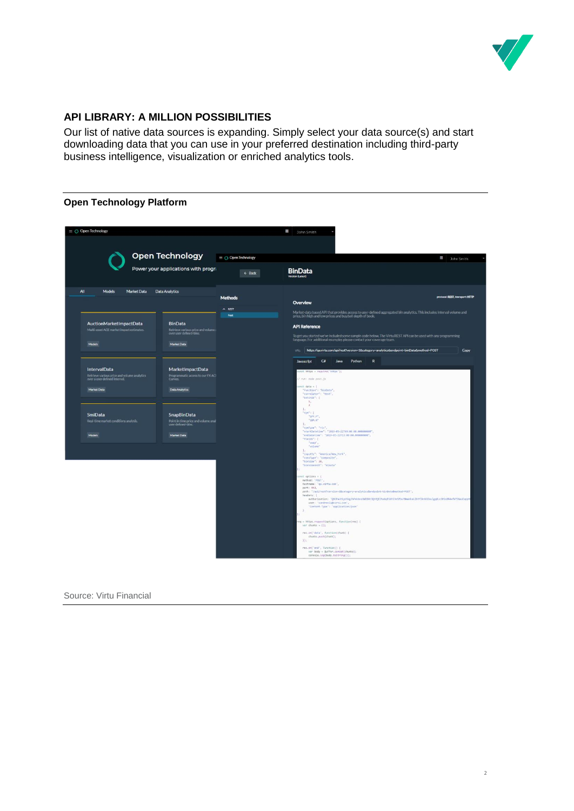

#### **API LIBRARY: A MILLION POSSIBILITIES**

Our list of native data sources is expanding. Simply select your data source(s) and start downloading data that you can use in your preferred destination including third-party business intelligence, visualization or enriched analytics tools.

#### **Open Technology Platform**

| $\equiv$ $\bigcirc$ Open Technology                                                          |                                                                                 |                                     | ₩<br>John Smith                                                                                                                                                                       |  |
|----------------------------------------------------------------------------------------------|---------------------------------------------------------------------------------|-------------------------------------|---------------------------------------------------------------------------------------------------------------------------------------------------------------------------------------|--|
|                                                                                              | <b>Open Technology</b>                                                          | $\equiv$ $\bigcirc$ Open Technology | ₩<br>John Smith                                                                                                                                                                       |  |
|                                                                                              | Power your applications with progra                                             | $\leftarrow$ Back                   | <b>BinData</b><br>ion (Latest)                                                                                                                                                        |  |
| All<br><b>Models</b><br><b>Market Data</b>                                                   | Data Analytics                                                                  | <b>Methods</b>                      | protocol: REST, transport: HTTP<br>Overview                                                                                                                                           |  |
|                                                                                              |                                                                                 | $A$ REST<br>Post                    | Market-data based API that provides access to user-defined aggregated bin analytics. This includes interval volume and                                                                |  |
| AuctionMarketImpactData<br>Multi-asset ACE market impact estimates                           | <b>BinData</b><br>Retrieve various price and volume:<br>over user defined-bins. |                                     | price, bin high and low prices and buy/sell depth of book.<br><b>API Reference</b>                                                                                                    |  |
| Models                                                                                       | Market Data                                                                     |                                     | To get you started we've included some sample code below. The Virtu REST API can be used with any programming<br>language. For additional examples please contact your coverage team. |  |
|                                                                                              |                                                                                 |                                     | https://qa.virtu.com/api/rest?version=1&category=analytics&endpoint=binData&method=POST<br>URL:<br>Copy                                                                               |  |
|                                                                                              |                                                                                 |                                     | $C\bar{v}$<br>Python<br>$\mathbf R$<br>Java<br>Javascript                                                                                                                             |  |
| IntervalData<br>Retrieve various price and volume analytics<br>over a user defined interval. | MarketImpactData<br>Programmatic access to our FX ACI<br>Curves.                |                                     | nst https = require('https');                                                                                                                                                         |  |
|                                                                                              |                                                                                 |                                     | / run: node post, is<br>onst data = {                                                                                                                                                 |  |
| Market Data                                                                                  | <b>Data Analytics</b>                                                           |                                     | "function": "binData",<br>"correlator": "test",<br>"batchid": [                                                                                                                       |  |
|                                                                                              |                                                                                 |                                     | 2.5<br>2<br>17                                                                                                                                                                        |  |
| <b>SmiData</b><br>Real-time market conditions analysis.                                      | <b>SnapBinData</b>                                                              |                                     | "syn": I<br>"SPY.P",<br>"186.5"                                                                                                                                                       |  |
|                                                                                              | Point in time price and volume anal<br>user defined-bins.                       |                                     | L.<br>"syntype": "ric",<br>"startDatetime": "2019-05-22709:00:00.000000000",                                                                                                          |  |
| <b>Models</b>                                                                                | Market Data                                                                     |                                     | "endDatetime": "2019-05-22713:00:00.000000000",<br>"fields": F<br>"wap"                                                                                                               |  |
|                                                                                              |                                                                                 |                                     | "volume"<br>Ь<br>"inputTz": "America/New_Vork",                                                                                                                                       |  |
|                                                                                              |                                                                                 |                                     | "consType": "composite",<br>"binSize": 30,<br>"hintizatmit": "minute"                                                                                                                 |  |
|                                                                                              |                                                                                 |                                     | $mnt$ options = {                                                                                                                                                                     |  |
|                                                                                              |                                                                                 |                                     | nethod: 'POST'<br>hostname: "qa.virtu.com",                                                                                                                                           |  |
|                                                                                              |                                                                                 |                                     | port: 443,<br>path: '/apl/rest?version=1&category=analytics&endpoint=binData&nethod=POST',<br>headers: {                                                                              |  |
|                                                                                              |                                                                                 |                                     | authorization: 'Q8CPaUHiyUSVgJhPxkhnzDWEB4t3QtHjE7hz4qPZdH13mSPbuYMwAkkaiJbhY1knkDZau1gq0LnJ0ScBM4+AdYSNauEzppH<br>user: 'candreoli@virtu.com',                                       |  |
|                                                                                              |                                                                                 |                                     | "Content-Type": 'application/json'<br>-3<br>H.                                                                                                                                        |  |
|                                                                                              |                                                                                 |                                     | req = https.request(options, function(res) {                                                                                                                                          |  |
|                                                                                              |                                                                                 |                                     | $var$ chunks = $[$ ];<br>res.on('data', Function(chunk) {                                                                                                                             |  |
|                                                                                              |                                                                                 |                                     | chunks.push(chunk):<br>E12                                                                                                                                                            |  |
|                                                                                              |                                                                                 |                                     | res.on('end', function() {<br>var body = Buffer.concot(chunks):                                                                                                                       |  |
|                                                                                              |                                                                                 |                                     | console. Log(body.taString());                                                                                                                                                        |  |

Source: Virtu Financial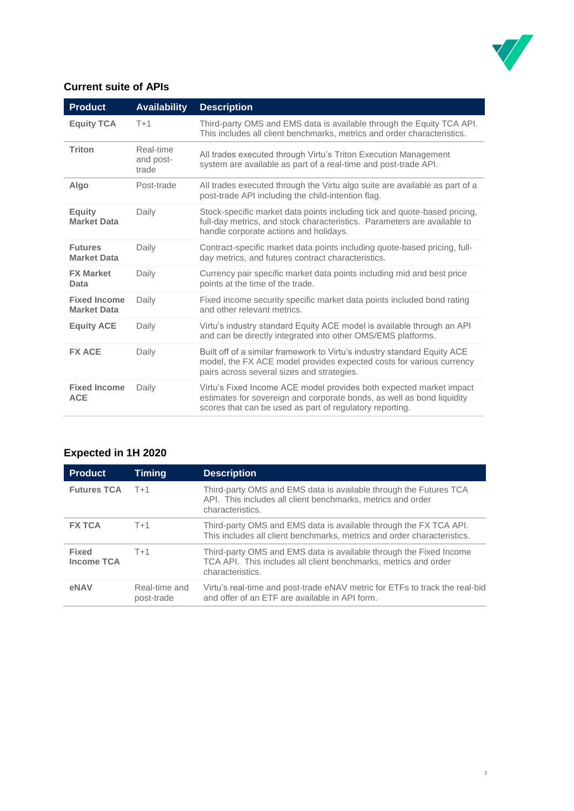

### **Current suite of APIs**

| <b>Product</b>                            | <b>Availability</b>             | <b>Description</b>                                                                                                                                                                                        |
|-------------------------------------------|---------------------------------|-----------------------------------------------------------------------------------------------------------------------------------------------------------------------------------------------------------|
| <b>Equity TCA</b>                         | $T+1$                           | Third-party OMS and EMS data is available through the Equity TCA API.<br>This includes all client benchmarks, metrics and order characteristics.                                                          |
| <b>Triton</b>                             | Real-time<br>and post-<br>trade | All trades executed through Virtu's Triton Execution Management<br>system are available as part of a real-time and post-trade API.                                                                        |
| Algo                                      | Post-trade                      | All trades executed through the Virtu algo suite are available as part of a<br>post-trade API including the child-intention flag.                                                                         |
| <b>Equity</b><br><b>Market Data</b>       | Daily                           | Stock-specific market data points including tick and quote-based pricing,<br>full-day metrics, and stock characteristics. Parameters are available to<br>handle corporate actions and holidays.           |
| <b>Futures</b><br><b>Market Data</b>      | Daily                           | Contract-specific market data points including quote-based pricing, full-<br>day metrics, and futures contract characteristics.                                                                           |
| <b>FX Market</b><br>Data                  | Daily                           | Currency pair specific market data points including mid and best price<br>points at the time of the trade.                                                                                                |
| <b>Fixed Income</b><br><b>Market Data</b> | Daily                           | Fixed income security specific market data points included bond rating<br>and other relevant metrics.                                                                                                     |
| <b>Equity ACE</b>                         | Daily                           | Virtu's industry standard Equity ACE model is available through an API<br>and can be directly integrated into other OMS/EMS platforms.                                                                    |
| <b>FX ACE</b>                             | Daily                           | Built off of a similar framework to Virtu's industry standard Equity ACE<br>model, the FX ACE model provides expected costs for various currency<br>pairs across several sizes and strategies.            |
| <b>Fixed Income</b><br><b>ACE</b>         | Daily                           | Virtu's Fixed Income ACE model provides both expected market impact<br>estimates for sovereign and corporate bonds, as well as bond liquidity<br>scores that can be used as part of regulatory reporting. |

## **Expected in 1H 2020**

| <b>Product</b>                    | Timing                      | <b>Description</b>                                                                                                                                        |
|-----------------------------------|-----------------------------|-----------------------------------------------------------------------------------------------------------------------------------------------------------|
| <b>Futures TCA</b>                | $T+1$                       | Third-party OMS and EMS data is available through the Futures TCA<br>API. This includes all client benchmarks, metrics and order<br>characteristics.      |
| <b>FX TCA</b>                     | $T+1$                       | Third-party OMS and EMS data is available through the FX TCA API.<br>This includes all client benchmarks, metrics and order characteristics.              |
| <b>Fixed</b><br><b>Income TCA</b> | $T+1$                       | Third-party OMS and EMS data is available through the Fixed Income<br>TCA API. This includes all client benchmarks, metrics and order<br>characteristics. |
| eNAV                              | Real-time and<br>post-trade | Virtu's real-time and post-trade eNAV metric for ETFs to track the real-bid<br>and offer of an ETF are available in API form.                             |